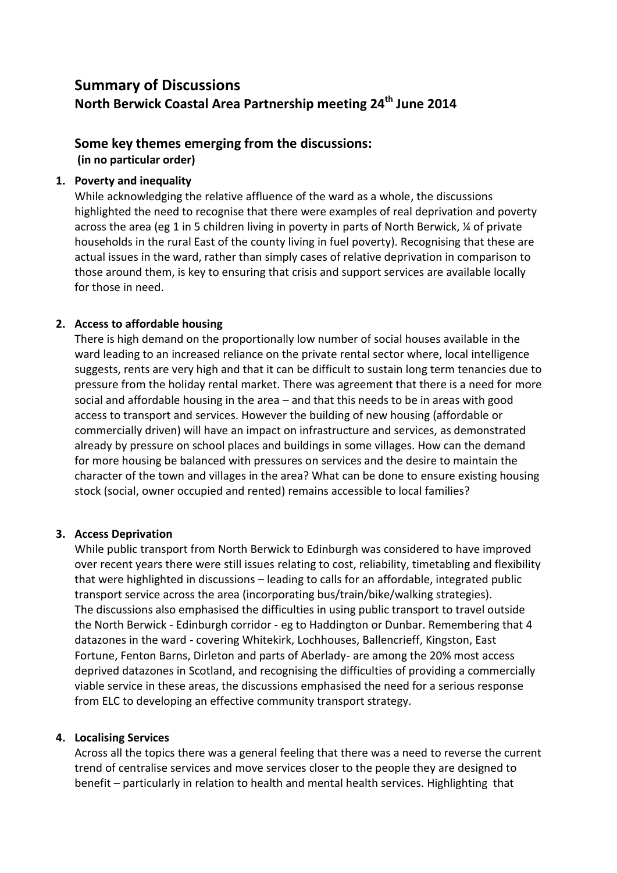# **Summary of Discussions North Berwick Coastal Area Partnership meeting 24th June 2014**

# **Some key themes emerging from the discussions:**

**(in no particular order)**

# **1. Poverty and inequality**

While acknowledging the relative affluence of the ward as a whole, the discussions highlighted the need to recognise that there were examples of real deprivation and poverty across the area (eg 1 in 5 children living in poverty in parts of North Berwick, ¼ of private households in the rural East of the county living in fuel poverty). Recognising that these are actual issues in the ward, rather than simply cases of relative deprivation in comparison to those around them, is key to ensuring that crisis and support services are available locally for those in need.

# **2. Access to affordable housing**

There is high demand on the proportionally low number of social houses available in the ward leading to an increased reliance on the private rental sector where, local intelligence suggests, rents are very high and that it can be difficult to sustain long term tenancies due to pressure from the holiday rental market. There was agreement that there is a need for more social and affordable housing in the area – and that this needs to be in areas with good access to transport and services. However the building of new housing (affordable or commercially driven) will have an impact on infrastructure and services, as demonstrated already by pressure on school places and buildings in some villages. How can the demand for more housing be balanced with pressures on services and the desire to maintain the character of the town and villages in the area? What can be done to ensure existing housing stock (social, owner occupied and rented) remains accessible to local families?

## **3. Access Deprivation**

While public transport from North Berwick to Edinburgh was considered to have improved over recent years there were still issues relating to cost, reliability, timetabling and flexibility that were highlighted in discussions – leading to calls for an affordable, integrated public transport service across the area (incorporating bus/train/bike/walking strategies). The discussions also emphasised the difficulties in using public transport to travel outside the North Berwick - Edinburgh corridor - eg to Haddington or Dunbar. Remembering that 4 datazones in the ward - covering Whitekirk, Lochhouses, Ballencrieff, Kingston, East Fortune, Fenton Barns, Dirleton and parts of Aberlady- are among the 20% most access deprived datazones in Scotland, and recognising the difficulties of providing a commercially viable service in these areas, the discussions emphasised the need for a serious response from ELC to developing an effective community transport strategy.

## **4. Localising Services**

Across all the topics there was a general feeling that there was a need to reverse the current trend of centralise services and move services closer to the people they are designed to benefit – particularly in relation to health and mental health services. Highlighting that